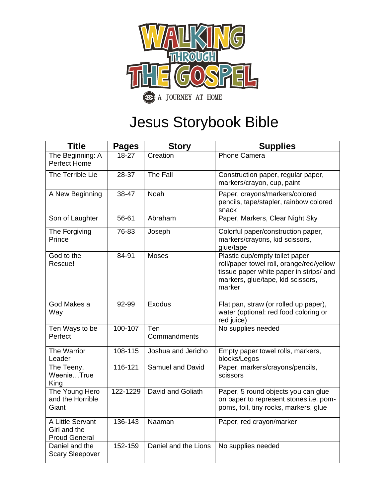

## Jesus Storybook Bible

| <b>Title</b>                                             | <b>Pages</b> | <b>Story</b>         | <b>Supplies</b>                                                                                                                                                      |
|----------------------------------------------------------|--------------|----------------------|----------------------------------------------------------------------------------------------------------------------------------------------------------------------|
| The Beginning: A<br><b>Perfect Home</b>                  | 18-27        | Creation             | <b>Phone Camera</b>                                                                                                                                                  |
| The Terrible Lie                                         | 28-37        | The Fall             | Construction paper, regular paper,<br>markers/crayon, cup, paint                                                                                                     |
| A New Beginning                                          | 38-47        | <b>Noah</b>          | Paper, crayons/markers/colored<br>pencils, tape/stapler, rainbow colored<br>snack                                                                                    |
| Son of Laughter                                          | 56-61        | Abraham              | Paper, Markers, Clear Night Sky                                                                                                                                      |
| The Forgiving<br>Prince                                  | 76-83        | Joseph               | Colorful paper/construction paper,<br>markers/crayons, kid scissors,<br>glue/tape                                                                                    |
| God to the<br>Rescue!                                    | 84-91        | <b>Moses</b>         | Plastic cup/empty toilet paper<br>roll/paper towel roll, orange/red/yellow<br>tissue paper white paper in strips/ and<br>markers, glue/tape, kid scissors,<br>marker |
| God Makes a<br>Way                                       | 92-99        | Exodus               | Flat pan, straw (or rolled up paper),<br>water (optional: red food coloring or<br>red juice)                                                                         |
| Ten Ways to be<br>Perfect                                | 100-107      | Ten<br>Commandments  | No supplies needed                                                                                                                                                   |
| The Warrior<br>Leader                                    | 108-115      | Joshua and Jericho   | Empty paper towel rolls, markers,<br>blocks/Legos                                                                                                                    |
| The Teeny,<br>WeenieTrue<br>King                         | 116-121      | Samuel and David     | Paper, markers/crayons/pencils,<br>scissors                                                                                                                          |
| The Young Hero<br>and the Horrible<br>Giant              | 122-1229     | David and Goliath    | Paper, 5 round objects you can glue<br>on paper to represent stones i.e. pom-<br>poms, foil, tiny rocks, markers, glue                                               |
| A Little Servant<br>Girl and the<br><b>Proud General</b> | 136-143      | Naaman               | Paper, red crayon/marker                                                                                                                                             |
| Daniel and the<br><b>Scary Sleepover</b>                 | 152-159      | Daniel and the Lions | No supplies needed                                                                                                                                                   |